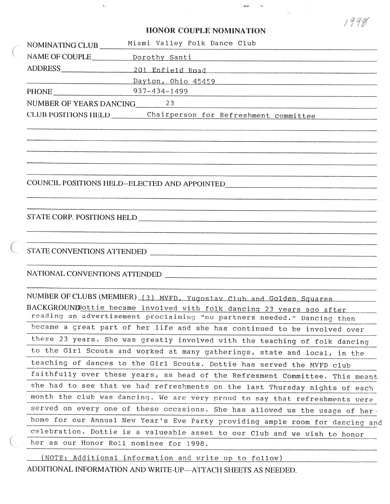### **tlONOR COUPLE NOMINATION**

| Chairperson for Refreshment committee |
|---------------------------------------|
|                                       |

COUNCII, POSITIONS FIELD--ELECTED AND APPOINTED -

#### STATE CORP. POSITIONS HELD

 $f \rightarrow f$ **S'I'A'TE** CONVENTIONS ATTENDED

NATIONAL CONVENTIONS ATTENDED

NUMBER OF CLUBS (MEMBER) (3) MVFD, Yugoslav Club and Golden Squares BACKGROUNDottie became involved with folk dancinq 23 years aqo after reading an advertisement proclaiming "no partners needed." Dancing then became a qreat part of her life and she has continued to be involved over these 23 years. She was greatly involved with the teaching of folk dancing to the Girl Scouts and worked at many gatherings, state and local, in the teaching of dances to the Girl Scouts. Dottie has served the MVFD club faithfully over these years, as head of the Refresment Committee. This **meant**  she had to see that we had refreshments on the last Thursday nights of each month the club was dancing. We are very proud to say that refreshments were served on every one of these occasions. She has allowed us the usage of her $\cdot$ home for our Annual **Nev** Year's Eve Party providing ample room for dancing and celebration. Dottie is a valueable asset to our Club and we wish to honor her as our Honor Roll nominee for 1998. -

(NOTE: Additional information and write up to follow) ADDITIONAL INFORMATION AND WRITE-UP-ATTACH SHEETS AS NEEDED. 1998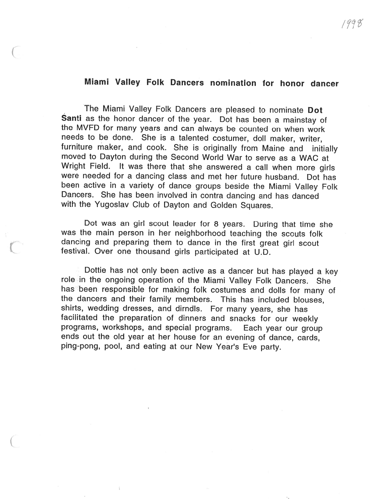## **Miami Valley Folk Dancers nomination for honor dancer**

The Miami Valley Folk Dancers are pleased to nominate **Dot Santi** as the honor dancer of the year. Dot has been a mainstay of the MVFD for many years and can always be counted on when work needs to be done. She is a talented costumer, doll maker, writer, furniture maker, and cook. She is originally from Maine and initially moved to Dayton during the Second World War to serve as a WAC at Wright Field. It was there that she answered a call when more girls were needed for a dancing class and met her future husband. Dot has been active in a variety of dance groups beside the Miami Valley Folk Dancers. She has been involved in contra dancing and has danced with the Yugoslav Club of Dayton and Golden Squares.

Dot was an girl scout leader for 8 years. During that time she was the main person in her neighborhood teaching the scouts folk dancing and preparing them to dance in the first great girl scout festival. Over one thousand girls participated at U.D.

Dottie has not only been active as a dancer but has played a key role in the ongoing operation of the Miami Valley Folk Dancers. She has been responsible for making folk costumes and dolls for many of the dancers and their family members. This has included blouses, shirts, wedding dresses, and dirndls. For many years, she has facilitated the preparation of dinners and snacks for our weekly programs, workshops, and special programs. Each year our group ends out the old year at her house for an evening of dance, cards, ping-pong, pool, and eating at our New Year's Eve party.